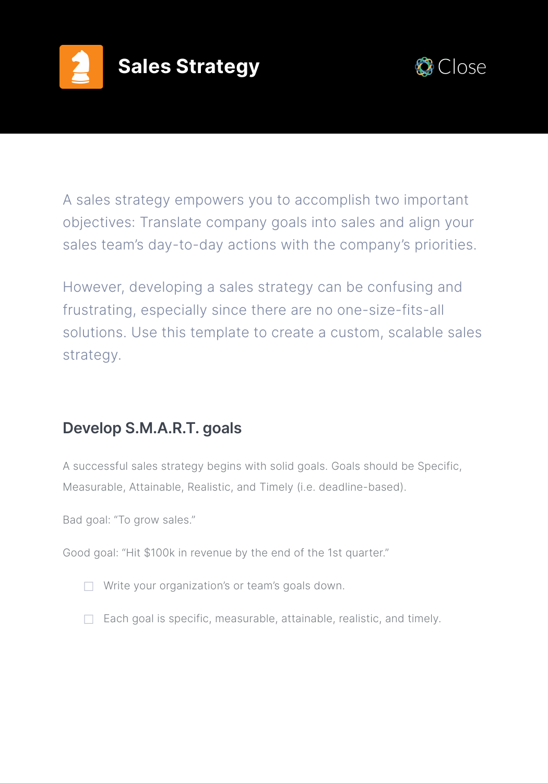



A sales strategy empowers you to accomplish two important objectives: Translate company goals into sales and align your sales team's day-to-day actions with the company's priorities.

However, developing a sales strategy can be confusing and frustrating, especially since there are no one-size-fits-all solutions. Use this template to create a custom, scalable sales strategy.

# **Develop S.M.A.R.T. goals**

A successful sales strategy begins with solid goals. Goals should be Specific, Measurable, Attainable, Realistic, and Timely (i.e. deadline-based).

Bad goal: "To grow sales."

Good goal: "Hit \$100k in revenue by the end of the 1st quarter."

- $\Box$  Write your organization's or team's goals down.
- $\Box$  Each goal is specific, measurable, attainable, realistic, and timely.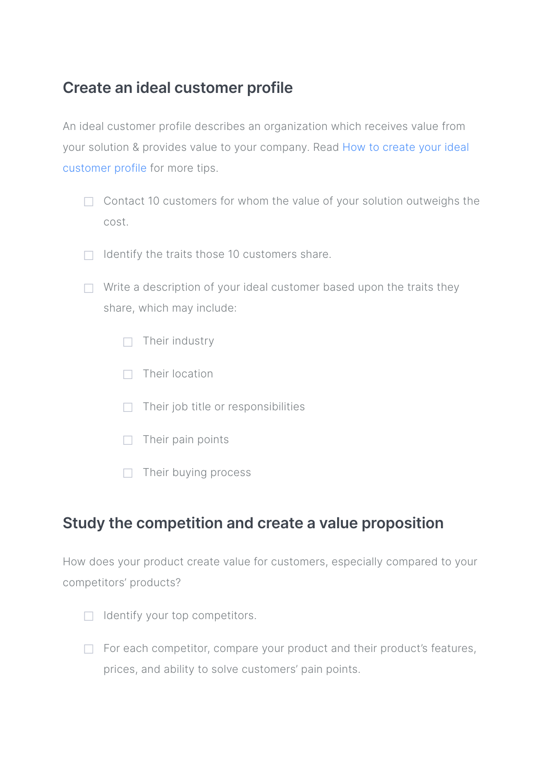## **Create an ideal customer profile**

An ideal customer profile describes an organization which receives value from your solution & provides value to your company. Read [How to create your ideal](https://blog.close.com/ideal-customer-profile?utm_source=ebook&utm_medium=link&utm_campaign=2019-ebooks&utm_term=quarterly_sales_kit)  [customer profile](https://blog.close.com/ideal-customer-profile?utm_source=ebook&utm_medium=link&utm_campaign=2019-ebooks&utm_term=quarterly_sales_kit) for more tips.

- $\Box$  Contact 10 customers for whom the value of your solution outweighs the cost.
- ☐ Identify the traits those 10 customers share.
- $\Box$  Write a description of your ideal customer based upon the traits they share, which may include:
	- $\Box$  Their industry
	- ☐ Their location
	- $\Box$  Their job title or responsibilities
	- $\Box$  Their pain points
	- $\Box$  Their buying process

#### **Study the competition and create a value proposition**

How does your product create value for customers, especially compared to your competitors' products?

- $\Box$  Identify your top competitors.
- □ For each competitor, compare your product and their product's features, prices, and ability to solve customers' pain points.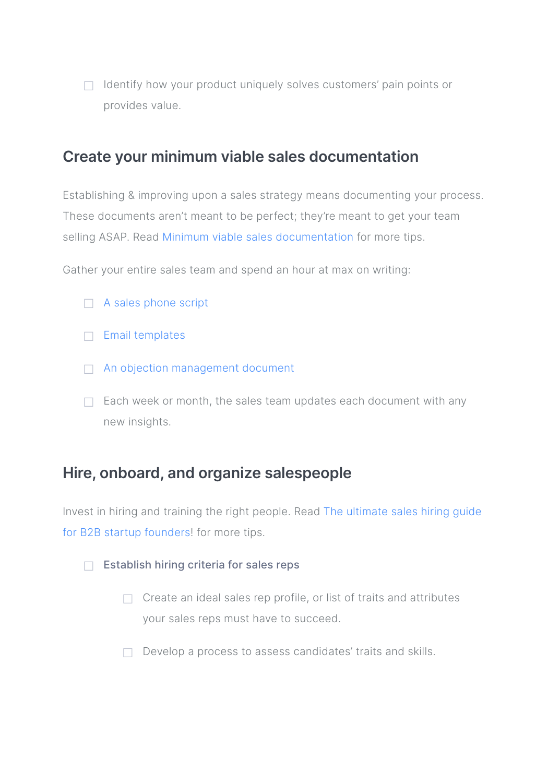□ Identify how your product uniquely solves customers' pain points or provides value.

#### **Create your minimum viable sales documentation**

Establishing & improving upon a sales strategy means documenting your process. These documents aren't meant to be perfect; they're meant to get your team selling ASAP. Read [Minimum viable sales documentation](https://blog.close.com/minimum-viable-sales-documentation?utm_source=ebook&utm_medium=link&utm_campaign=2019-ebooks&utm_term=quarterly_sales_kit) for more tips.

Gather your entire sales team and spend an hour at max on writing:

- □ [A sales phone script](https://blog.close.com/how-to-create-a-sales-phone-script-free-template?utm_source=ebook&utm_medium=link&utm_campaign=2019-ebooks&utm_term=quarterly_sales_kit)
- $\Box$  [Email templates](https://blog.close.com/six-simple-steps-to-getting-started-with-cold-sales-emails)
- □ [An objection management document](https://blog.close.com/manage-any-sales-objection-successfully?utm_source=ebook&utm_medium=link&utm_campaign=2019-ebooks&utm_term=quarterly_sales_kit)
- $\Box$  Each week or month, the sales team updates each document with any new insights.

## **Hire, onboard, and organize salespeople**

Invest in hiring and training the right people. Read [The ultimate sales hiring guide](https://blog.close.com/sales-hiring-101-for-startups?utm_source=ebook&utm_medium=link&utm_campaign=2019-ebooks&utm_term=quarterly_sales_kit)  [for B2B startup founders](https://blog.close.com/sales-hiring-101-for-startups?utm_source=ebook&utm_medium=link&utm_campaign=2019-ebooks&utm_term=quarterly_sales_kit)! for more tips.

- ☐ Establish hiring criteria for sales reps
	- $\Box$  Create an ideal sales rep profile, or list of traits and attributes your sales reps must have to succeed.
	- $\Box$  Develop a process to assess candidates' traits and skills.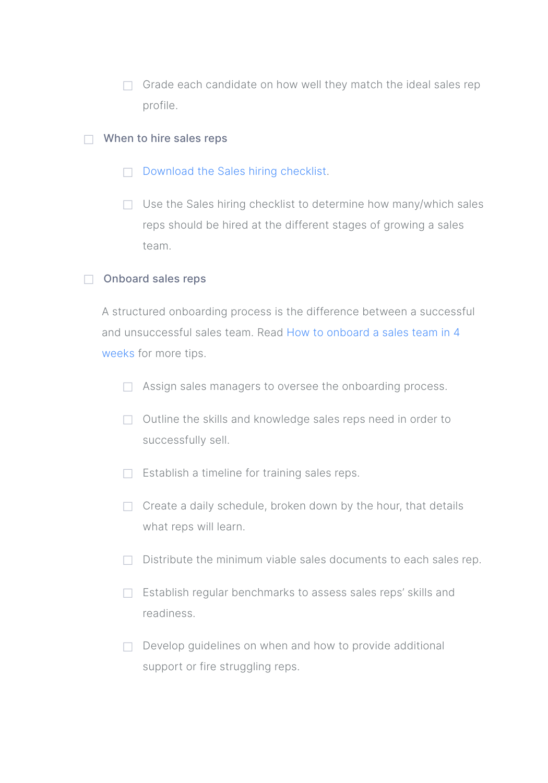$\Box$  Grade each candidate on how well they match the ideal sales rep profile.

#### $\Box$  When to hire sales reps

- ☐ [Download the Sales hiring checklist](https://close.com/resources/sales-hiring-checklist/?utm_source=ebook&utm_medium=link&utm_campaign=2019-ebooks&utm_term=quarterly_sales_kit).
- $\Box$  Use the Sales hiring checklist to determine how many/which sales reps should be hired at the different stages of growing a sales team.

#### ☐ Onboard sales reps

A structured onboarding process is the difference between a successful and unsuccessful sales team. Read [How to onboard a sales team in 4](https://blog.close.com/how-to-onboard-a-sales-team-in-4-weeks?utm_source=ebook&utm_medium=link&utm_campaign=2019-ebooks&utm_term=quarterly_sales_kit)  [weeks](https://blog.close.com/how-to-onboard-a-sales-team-in-4-weeks?utm_source=ebook&utm_medium=link&utm_campaign=2019-ebooks&utm_term=quarterly_sales_kit) for more tips.

- □ Assign sales managers to oversee the onboarding process.
- ☐ Outline the skills and knowledge sales reps need in order to successfully sell.
- ☐ Establish a timeline for training sales reps.
- $\Box$  Create a daily schedule, broken down by the hour, that details what reps will learn.
- $\Box$  Distribute the minimum viable sales documents to each sales rep.
- ☐ Establish regular benchmarks to assess sales reps' skills and readiness.
- □ Develop guidelines on when and how to provide additional support or fire struggling reps.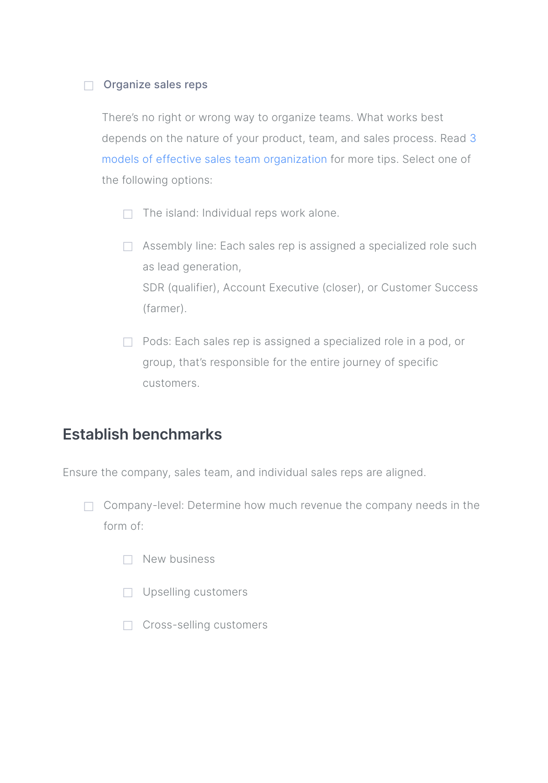#### □ Organize sales reps

There's no right or wrong way to organize teams. What works best depends on the nature of your product, team, and sales process. Read [3](https://blog.close.com/sales-management-3-models-of-sales-team-organization)  [models of effective sales team organization](https://blog.close.com/sales-management-3-models-of-sales-team-organization) for more tips. Select one of the following options:

- $\Box$  The island: Individual reps work alone.
- □ Assembly line: Each sales rep is assigned a specialized role such as lead generation, SDR (qualifier), Account Executive (closer), or Customer Success (farmer).
- □ Pods: Each sales rep is assigned a specialized role in a pod, or group, that's responsible for the entire journey of specific customers.

#### **Establish benchmarks**

Ensure the company, sales team, and individual sales reps are aligned.

- □ Company-level: Determine how much revenue the company needs in the form of:
	- ☐ New business
	- □ Upselling customers
	- ☐ Cross-selling customers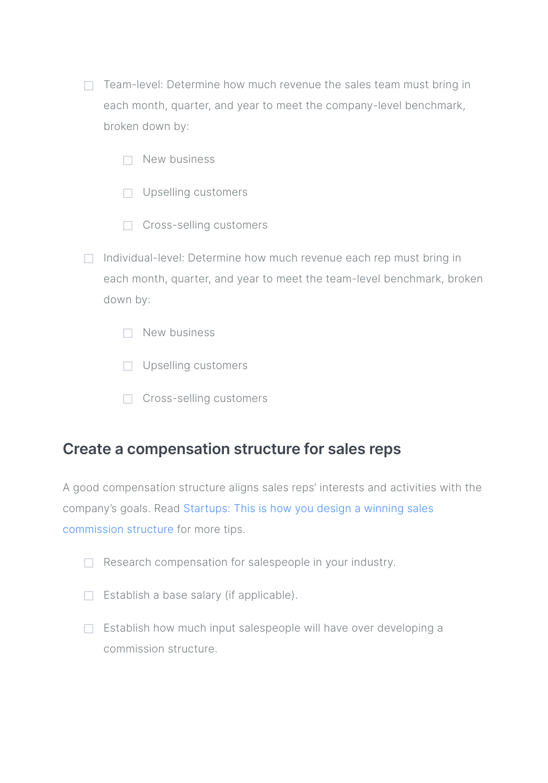- □ Team-level: Determine how much revenue the sales team must bring in each month, quarter, and year to meet the company-level benchmark, broken down by:
	- $\neg$  New business
	- □ Upselling customers
	- ☐ Cross-selling customers
- □ Individual-level: Determine how much revenue each rep must bring in each month, quarter, and year to meet the team-level benchmark, broken down by:
	- ☐ New business
	- □ Upselling customers
	- ☐ Cross-selling customers

### **Create a compensation structure for sales reps**

A good compensation structure aligns sales reps' interests and activities with the company's goals. Read [Startups: This is how you design a winning sales](https://blog.close.com/sales-commission-structure-for-startups?utm_source=ebook&utm_medium=link&utm_campaign=2019-ebooks&utm_term=quarterly_sales_kit)  [commission structure](https://blog.close.com/sales-commission-structure-for-startups?utm_source=ebook&utm_medium=link&utm_campaign=2019-ebooks&utm_term=quarterly_sales_kit) for more tips.

- ☐ Research compensation for salespeople in your industry.
- ☐ Establish a base salary (if applicable).
- $\Box$  Establish how much input salespeople will have over developing a commission structure.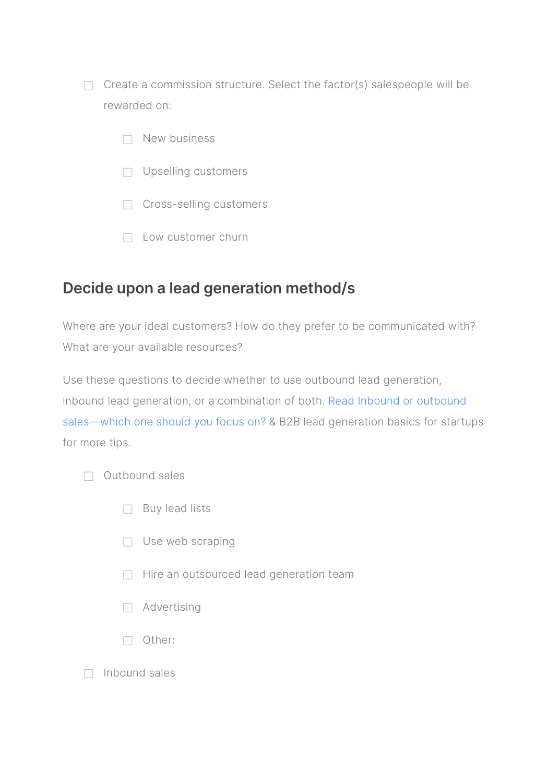$\Box$  Create a commission structure. Select the factor(s) salespeople will be rewarded on:

- ☐ New business
- ☐ Upselling customers
- ☐ Cross-selling customers
- ☐ Low customer churn

### **Decide upon a lead generation method/s**

Where are your ideal customers? How do they prefer to be communicated with? What are your available resources?

Use these questions to decide whether to use outbound lead generation, inbound lead generation, or a combination of both. [Read Inbound or outbound](https://blog.close.com/inbound-or-outbound-sales?utm_source=ebook&utm_medium=link&utm_campaign=2019-ebooks&utm_term=quarterly_sales_kit)  [sales—which one should you focus on?](https://blog.close.com/inbound-or-outbound-sales?utm_source=ebook&utm_medium=link&utm_campaign=2019-ebooks&utm_term=quarterly_sales_kit) & [B2B lead generation basics for startups](https://blog.close.com/b2b-lead-generation-for-startups?utm_source=ebook&utm_medium=link&utm_campaign=2019-ebooks&utm_term=quarterly_sales_kit)  [for more tips.](https://blog.close.com/b2b-lead-generation-for-startups?utm_source=ebook&utm_medium=link&utm_campaign=2019-ebooks&utm_term=quarterly_sales_kit)

- ☐ Outbound sales
	- □ Buy lead lists
	- ☐ Use web scraping
	- □ Hire an outsourced lead generation team
	- ☐ Advertising
	- ☐ Other:
- ☐ Inbound sales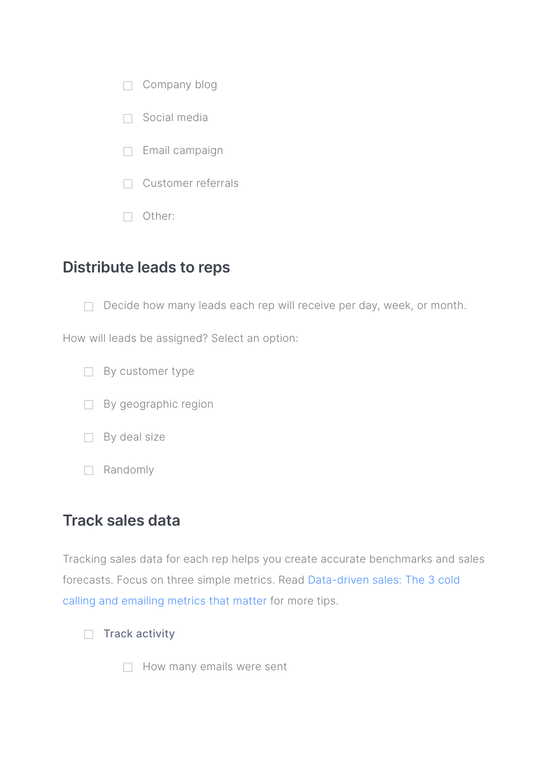| Company blog       |
|--------------------|
| Social media       |
| Email campaign     |
| Customer referrals |

☐ Other:

## **Distribute leads to reps**

 $\Box$  Decide how many leads each rep will receive per day, week, or month.

How will leads be assigned? Select an option:

- □ By customer type
- □ By geographic region
- □ By deal size
- ☐ Randomly

## **Track sales data**

Tracking sales data for each rep helps you create accurate benchmarks and sales forecasts. Focus on three simple metrics. Read [Data-driven sales: The 3 cold](https://blog.close.com/data-driven-sales-metrics?utm_source=ebook&utm_medium=link&utm_campaign=2019-ebooks&utm_term=quarterly_sales_kit)  [calling and emailing metrics that matter](https://blog.close.com/data-driven-sales-metrics?utm_source=ebook&utm_medium=link&utm_campaign=2019-ebooks&utm_term=quarterly_sales_kit) for more tips.

#### □ Track activity

□ How many emails were sent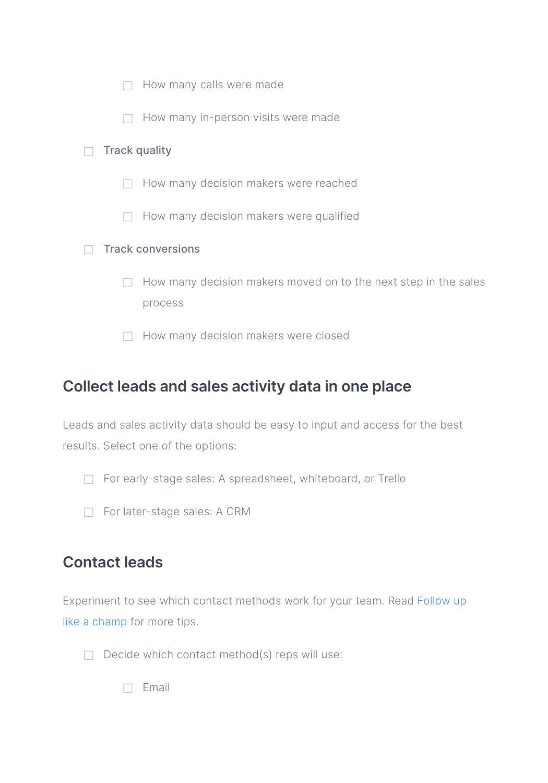|                          |  | How many calls were made                                                   |
|--------------------------|--|----------------------------------------------------------------------------|
|                          |  | How many in-person visits were made                                        |
| <b>Track quality</b>     |  |                                                                            |
|                          |  | How many decision makers were reached                                      |
|                          |  | How many decision makers were qualified                                    |
| <b>Track conversions</b> |  |                                                                            |
|                          |  | How many decision makers moved on to the next step in the sales<br>process |
|                          |  | How many decision makers were closed                                       |

# **Collect leads and sales activity data in one place**

Leads and sales activity data should be easy to input and access for the best results. Select one of the options:

- □ For early-stage sales: A spreadsheet, whiteboard, or Trello
- □ For later-stage sales: [A CRM](https://close.com/?utm_source=ebook&utm_medium=link&utm_campaign=2019-ebooks&utm_term=quarterly_sales_kit)

## **Contact leads**

Experiment to see which contact methods work for your team. Read [Follow up](https://blog.close.com/follow-up?utm_source=ebook&utm_medium=link&utm_campaign=2019-ebooks&utm_term=quarterly_sales_kit)  [like a champ](https://blog.close.com/follow-up?utm_source=ebook&utm_medium=link&utm_campaign=2019-ebooks&utm_term=quarterly_sales_kit) for more tips.

 $\Box$  Decide which contact method(s) reps will use:

☐ Email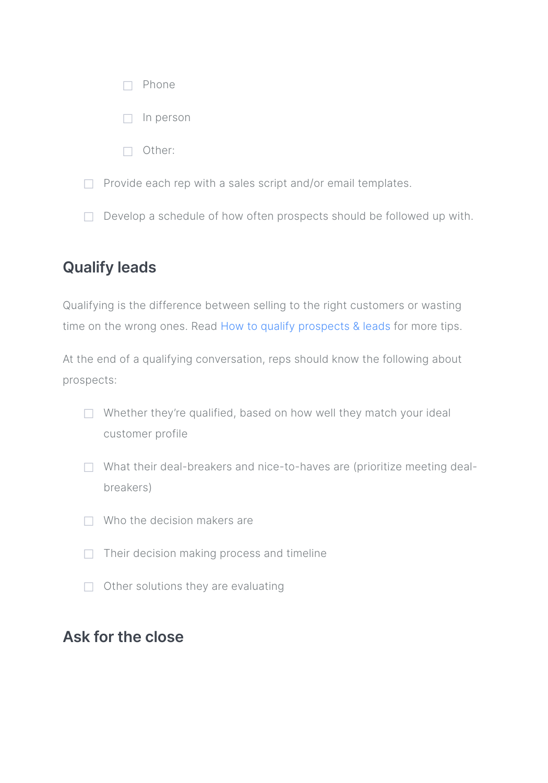|                                                              | Phone                                                                 |
|--------------------------------------------------------------|-----------------------------------------------------------------------|
|                                                              | In person                                                             |
|                                                              | Other:                                                                |
| Provide each rep with a sales script and/or email templates. |                                                                       |
|                                                              | Develop a schedule of how often prospects should be followed up with. |

# **Qualify leads**

Qualifying is the difference between selling to the right customers or wasting time on the wrong ones. Read [How to qualify prospects & leads](https://blog.close.com/qualify?utm_source=ebook&utm_medium=link&utm_campaign=2019-ebooks&utm_term=quarterly_sales_kit) for more tips.

At the end of a qualifying conversation, reps should know the following about prospects:

- □ Whether they're qualified, based on how well they match your ideal customer profile
- □ What their deal-breakers and nice-to-haves are (prioritize meeting dealbreakers)
- $\Box$  Who the decision makers are
- $\Box$  Their decision making process and timeline
- $\Box$  Other solutions they are evaluating

## **Ask for the close**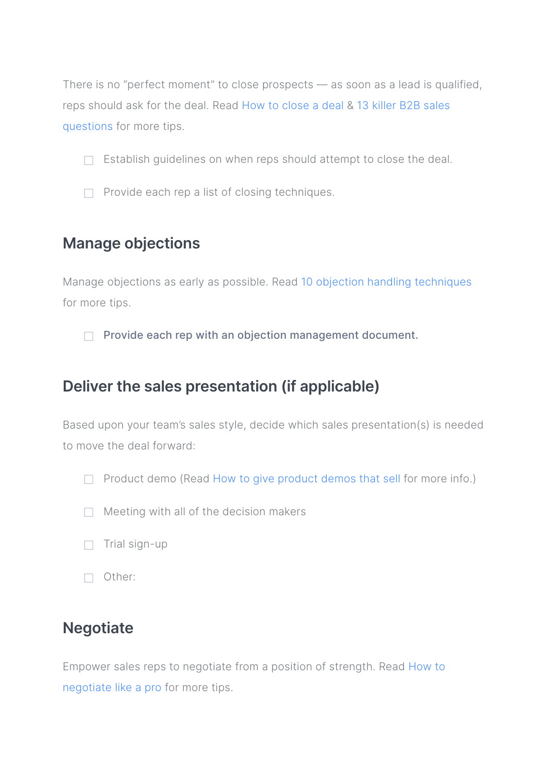There is no "perfect moment" to close prospects — as soon as a lead is qualified, reps should ask for the deal. Read [How to close a deal](https://blog.close.com/how-to-close-a-deal?utm_source=ebook&utm_medium=link&utm_campaign=2019-ebooks&utm_term=quarterly_sales_kit) & [13 killer B2B sales](https://blog.close.com/13-killer-b2b-sales-questions-to-close-more-deals?utm_source=ebook&utm_medium=link&utm_campaign=2019-ebooks&utm_term=quarterly_sales_kit)  [questions](https://blog.close.com/13-killer-b2b-sales-questions-to-close-more-deals?utm_source=ebook&utm_medium=link&utm_campaign=2019-ebooks&utm_term=quarterly_sales_kit) for more tips.

- $\Box$  Establish quidelines on when reps should attempt to close the deal.
- □ Provide each rep a list of closing techniques.

## **Manage objections**

Manage objections as early as possible. Read [10 objection handling techniques](https://blog.close.com/sales-objection-handling?utm_source=ebook&utm_medium=link&utm_campaign=2019-ebooks&utm_term=quarterly_sales_kit) for more tips.

☐ Provide each rep with an objection management document.

### **Deliver the sales presentation (if applicable)**

Based upon your team's sales style, decide which sales presentation(s) is needed to move the deal forward:

 $\Box$  Product demo (Read [How to give product demos that sell](https://blog.close.com/how-to-give-product-demos-that-sell?utm_source=ebook&utm_medium=link&utm_campaign=2019-ebooks&utm_term=quarterly_sales_kit) for more info.)

- $\Box$  Meeting with all of the decision makers
- $\Box$  Trial sign-up
- ☐ Other:

## **Negotiate**

Empower sales reps to negotiate from a position of strength. Read [How to](https://blog.close.com/negotiate?utm_source=ebook&utm_medium=link&utm_campaign=2019-ebooks&utm_term=quarterly_sales_kit)  [negotiate like a pro](https://blog.close.com/negotiate?utm_source=ebook&utm_medium=link&utm_campaign=2019-ebooks&utm_term=quarterly_sales_kit) for more tips.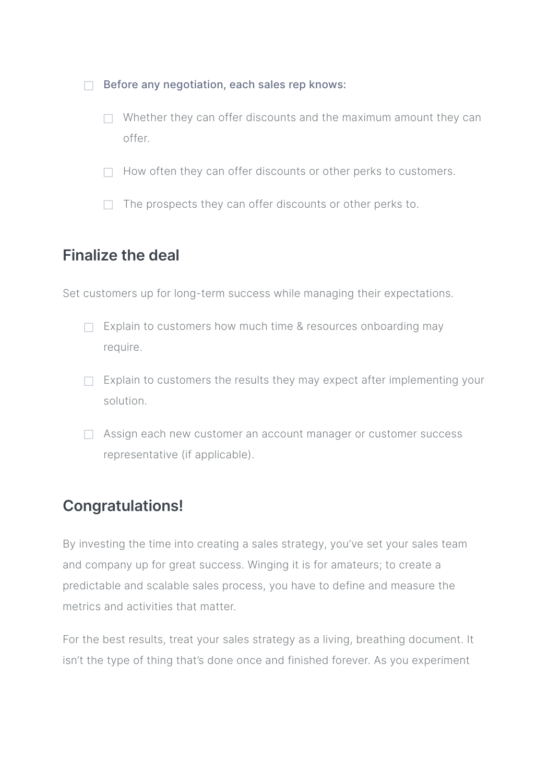□ Before any negotiation, each sales rep knows:

- $\Box$  Whether they can offer discounts and the maximum amount they can offer.
- $\Box$  How often they can offer discounts or other perks to customers.
- $\Box$  The prospects they can offer discounts or other perks to.

### **Finalize the deal**

Set customers up for long-term success while managing their expectations.

- □ Explain to customers how much time & resources onboarding may require.
- $\Box$  Explain to customers the results they may expect after implementing your solution.
- □ Assign each new customer an account manager or customer success representative (if applicable).

# **Congratulations!**

By investing the time into creating a sales strategy, you've set your sales team and company up for great success. Winging it is for amateurs; to create a predictable and scalable sales process, you have to define and measure the metrics and activities that matter.

For the best results, treat your sales strategy as a living, breathing document. It isn't the type of thing that's done once and finished forever. As you experiment